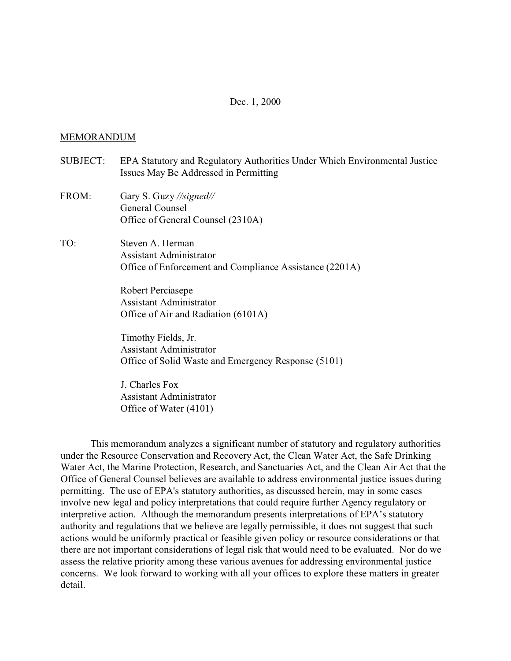### Dec. 1, 2000

#### MEMORANDUM

- SUBJECT: EPA Statutory and Regulatory Authorities Under Which Environmental Justice Issues May Be Addressed in Permitting
- FROM: Gary S. Guzy *//signed//*  General Counsel Office of General Counsel (2310A)
- TO: Steven A. Herman Assistant Administrator Office of Enforcement and Compliance Assistance (2201A)

Robert Perciasepe Assistant Administrator Office of Air and Radiation (6101A)

Timothy Fields, Jr. Assistant Administrator Office of Solid Waste and Emergency Response (5101)

J. Charles Fox Assistant Administrator Office of Water (4101)

This memorandum analyzes a significant number of statutory and regulatory authorities under the Resource Conservation and Recovery Act, the Clean Water Act, the Safe Drinking Water Act, the Marine Protection, Research, and Sanctuaries Act, and the Clean Air Act that the Office of General Counsel believes are available to address environmental justice issues during permitting. The use of EPA's statutory authorities, as discussed herein, may in some cases involve new legal and policy interpretations that could require further Agency regulatory or interpretive action. Although the memorandum presents interpretations of EPA's statutory authority and regulations that we believe are legally permissible, it does not suggest that such actions would be uniformly practical or feasible given policy or resource considerations or that there are not important considerations of legal risk that would need to be evaluated. Nor do we assess the relative priority among these various avenues for addressing environmental justice concerns. We look forward to working with all your offices to explore these matters in greater detail.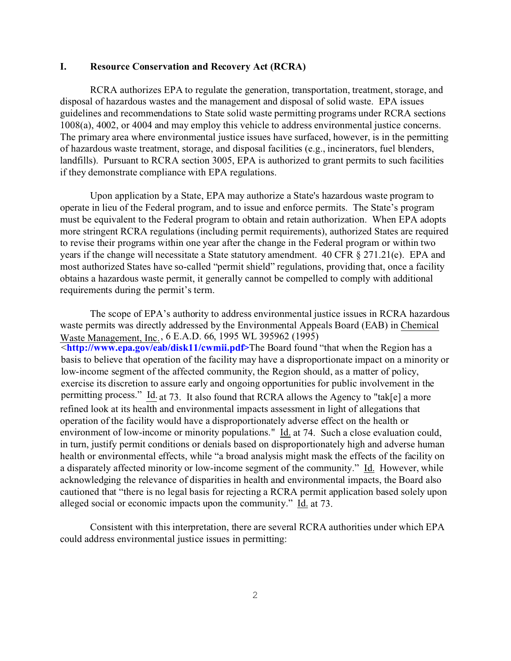#### **I. Resource Conservation and Recovery Act (RCRA)**

RCRA authorizes EPA to regulate the generation, transportation, treatment, storage, and disposal of hazardous wastes and the management and disposal of solid waste. EPA issues guidelines and recommendations to State solid waste permitting programs under RCRA sections 1008(a), 4002, or 4004 and may employ this vehicle to address environmental justice concerns. The primary area where environmental justice issues have surfaced, however, is in the permitting of hazardous waste treatment, storage, and disposal facilities (e.g., incinerators, fuel blenders, landfills). Pursuant to RCRA section 3005, EPA is authorized to grant permits to such facilities if they demonstrate compliance with EPA regulations.

Upon application by a State, EPA may authorize a State's hazardous waste program to operate in lieu of the Federal program, and to issue and enforce permits. The State's program must be equivalent to the Federal program to obtain and retain authorization. When EPA adopts more stringent RCRA regulations (including permit requirements), authorized States are required to revise their programs within one year after the change in the Federal program or within two years if the change will necessitate a State statutory amendment. 40 CFR § 271.21(e). EPA and most authorized States have so-called "permit shield" regulations, providing that, once a facility obtains a hazardous waste permit, it generally cannot be compelled to comply with additional requirements during the permit's term.

 <**[http://www.epa.gov/eab/disk11/cwmii.pd](http://www.epa.gov/eab/disk11/ewmii.pdf)f**. **>**The Board found "that when the Region has a The scope of EPA's authority to address environmental justice issues in RCRA hazardous waste permits was directly addressed by the Environmental Appeals Board (EAB) in Chemical Waste Management, Inc., 6 E.A.D. 66, 1995 WL 395962 (1995) basis to believe that operation of the facility may have a disproportionate impact on a minority or low-income segment of the affected community, the Region should, as a matter of policy, exercise its discretion to assure early and ongoing opportunities for public involvement in the permitting process." Id. at 73. It also found that RCRA allows the Agency to "tak[e] a more refined look at its health and environmental impacts assessment in light of allegations that operation of the facility would have a disproportionately adverse effect on the health or environment of low-income or minority populations." Id. at 74. Such a close evaluation could, in turn, justify permit conditions or denials based on disproportionately high and adverse human health or environmental effects, while "a broad analysis might mask the effects of the facility on a disparately affected minority or low-income segment of the community." Id. However, while acknowledging the relevance of disparities in health and environmental impacts, the Board also cautioned that "there is no legal basis for rejecting a RCRA permit application based solely upon alleged social or economic impacts upon the community." Id. at 73.

Consistent with this interpretation, there are several RCRA authorities under which EPA could address environmental justice issues in permitting: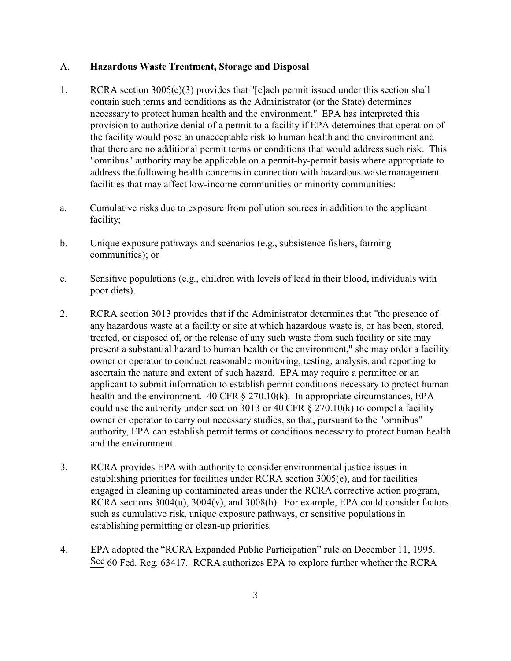### A. **Hazardous Waste Treatment, Storage and Disposal**

- 1.  $RCRA$  section 3005(c)(3) provides that "[e]ach permit issued under this section shall contain such terms and conditions as the Administrator (or the State) determines necessary to protect human health and the environment." EPA has interpreted this provision to authorize denial of a permit to a facility if EPA determines that operation of the facility would pose an unacceptable risk to human health and the environment and that there are no additional permit terms or conditions that would address such risk. This "omnibus" authority may be applicable on a permit-by-permit basis where appropriate to address the following health concerns in connection with hazardous waste management facilities that may affect low-income communities or minority communities:
- a. Cumulative risks due to exposure from pollution sources in addition to the applicant facility;
- b. Unique exposure pathways and scenarios (e.g., subsistence fishers, farming communities); or
- c. Sensitive populations (e.g., children with levels of lead in their blood, individuals with poor diets).
- 2. RCRA section 3013 provides that if the Administrator determines that "the presence of any hazardous waste at a facility or site at which hazardous waste is, or has been, stored, treated, or disposed of, or the release of any such waste from such facility or site may present a substantial hazard to human health or the environment," she may order a facility owner or operator to conduct reasonable monitoring, testing, analysis, and reporting to ascertain the nature and extent of such hazard. EPA may require a permittee or an applicant to submit information to establish permit conditions necessary to protect human health and the environment. 40 CFR § 270.10(k). In appropriate circumstances, EPA could use the authority under section 3013 or 40 CFR § 270.10(k) to compel a facility owner or operator to carry out necessary studies, so that, pursuant to the "omnibus" authority, EPA can establish permit terms or conditions necessary to protect human health and the environment.
- 3. RCRA provides EPA with authority to consider environmental justice issues in establishing priorities for facilities under RCRA section 3005(e), and for facilities engaged in cleaning up contaminated areas under the RCRA corrective action program, RCRA sections 3004(u), 3004(v), and 3008(h). For example, EPA could consider factors such as cumulative risk, unique exposure pathways, or sensitive populations in establishing permitting or clean-up priorities.
- 4. EPA adopted the "RCRA Expanded Public Participation" rule on December 11, 1995. See 60 Fed. Reg. 63417. RCRA authorizes EPA to explore further whether the RCRA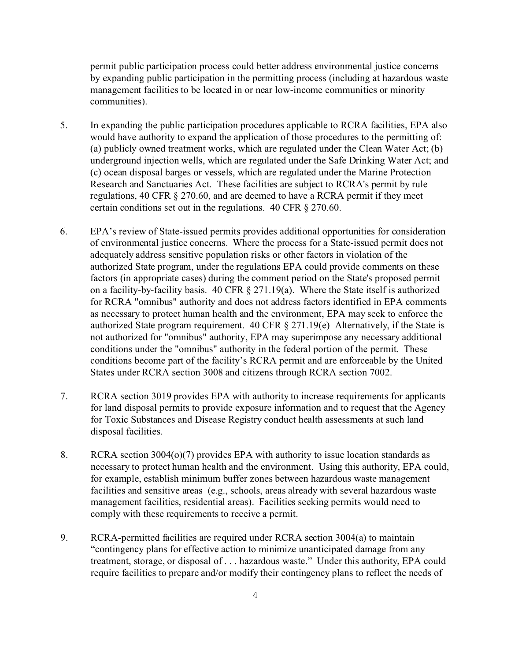permit public participation process could better address environmental justice concerns by expanding public participation in the permitting process (including at hazardous waste management facilities to be located in or near low-income communities or minority communities).

- 5. In expanding the public participation procedures applicable to RCRA facilities, EPA also would have authority to expand the application of those procedures to the permitting of: (a) publicly owned treatment works, which are regulated under the Clean Water Act; (b) underground injection wells, which are regulated under the Safe Drinking Water Act; and (c) ocean disposal barges or vessels, which are regulated under the Marine Protection Research and Sanctuaries Act. These facilities are subject to RCRA's permit by rule regulations, 40 CFR § 270.60, and are deemed to have a RCRA permit if they meet certain conditions set out in the regulations. 40 CFR § 270.60.
- 6. EPA's review of State-issued permits provides additional opportunities for consideration of environmental justice concerns. Where the process for a State-issued permit does not adequately address sensitive population risks or other factors in violation of the authorized State program, under the regulations EPA could provide comments on these factors (in appropriate cases) during the comment period on the State's proposed permit on a facility-by-facility basis. 40 CFR § 271.19(a). Where the State itself is authorized for RCRA "omnibus" authority and does not address factors identified in EPA comments as necessary to protect human health and the environment, EPA may seek to enforce the authorized State program requirement. 40 CFR § 271.19(e) Alternatively, if the State is not authorized for "omnibus" authority, EPA may superimpose any necessary additional conditions under the "omnibus" authority in the federal portion of the permit. These conditions become part of the facility's RCRA permit and are enforceable by the United States under RCRA section 3008 and citizens through RCRA section 7002.
- 7. RCRA section 3019 provides EPA with authority to increase requirements for applicants for land disposal permits to provide exposure information and to request that the Agency for Toxic Substances and Disease Registry conduct health assessments at such land disposal facilities.
- 8. RCRA section 3004(o)(7) provides EPA with authority to issue location standards as necessary to protect human health and the environment. Using this authority, EPA could, for example, establish minimum buffer zones between hazardous waste management facilities and sensitive areas (e.g., schools, areas already with several hazardous waste management facilities, residential areas). Facilities seeking permits would need to comply with these requirements to receive a permit.
- 9. RCRA-permitted facilities are required under RCRA section 3004(a) to maintain "contingency plans for effective action to minimize unanticipated damage from any treatment, storage, or disposal of . . . hazardous waste." Under this authority, EPA could require facilities to prepare and/or modify their contingency plans to reflect the needs of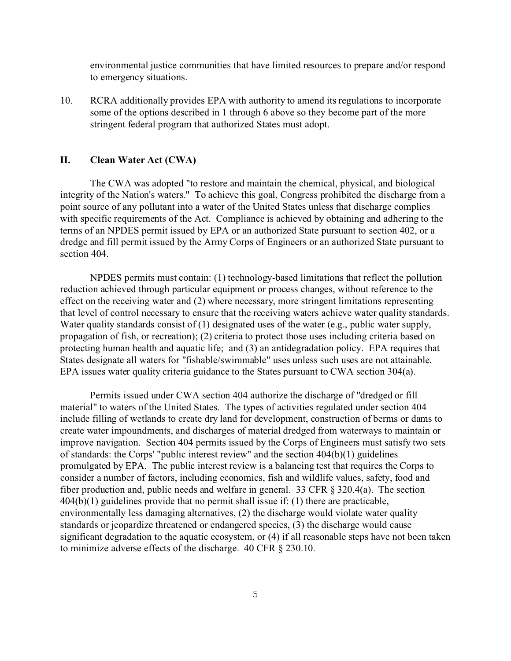environmental justice communities that have limited resources to prepare and/or respond to emergency situations.

10. RCRA additionally provides EPA with authority to amend its regulations to incorporate some of the options described in 1 through 6 above so they become part of the more stringent federal program that authorized States must adopt.

#### **II. Clean Water Act (CWA)**

The CWA was adopted "to restore and maintain the chemical, physical, and biological integrity of the Nation's waters." To achieve this goal, Congress prohibited the discharge from a point source of any pollutant into a water of the United States unless that discharge complies with specific requirements of the Act. Compliance is achieved by obtaining and adhering to the terms of an NPDES permit issued by EPA or an authorized State pursuant to section 402, or a dredge and fill permit issued by the Army Corps of Engineers or an authorized State pursuant to section 404.

NPDES permits must contain: (1) technology-based limitations that reflect the pollution reduction achieved through particular equipment or process changes, without reference to the effect on the receiving water and (2) where necessary, more stringent limitations representing that level of control necessary to ensure that the receiving waters achieve water quality standards. Water quality standards consist of (1) designated uses of the water (e.g., public water supply, propagation of fish, or recreation); (2) criteria to protect those uses including criteria based on protecting human health and aquatic life; and (3) an antidegradation policy. EPA requires that States designate all waters for "fishable/swimmable" uses unless such uses are not attainable. EPA issues water quality criteria guidance to the States pursuant to CWA section 304(a).

Permits issued under CWA section 404 authorize the discharge of "dredged or fill material" to waters of the United States. The types of activities regulated under section 404 include filling of wetlands to create dry land for development, construction of berms or dams to create water impoundments, and discharges of material dredged from waterways to maintain or improve navigation. Section 404 permits issued by the Corps of Engineers must satisfy two sets of standards: the Corps' "public interest review" and the section 404(b)(1) guidelines promulgated by EPA. The public interest review is a balancing test that requires the Corps to consider a number of factors, including economics, fish and wildlife values, safety, food and fiber production and, public needs and welfare in general. 33 CFR § 320.4(a). The section 404(b)(1) guidelines provide that no permit shall issue if: (1) there are practicable, environmentally less damaging alternatives, (2) the discharge would violate water quality standards or jeopardize threatened or endangered species, (3) the discharge would cause significant degradation to the aquatic ecosystem, or (4) if all reasonable steps have not been taken to minimize adverse effects of the discharge. 40 CFR § 230.10.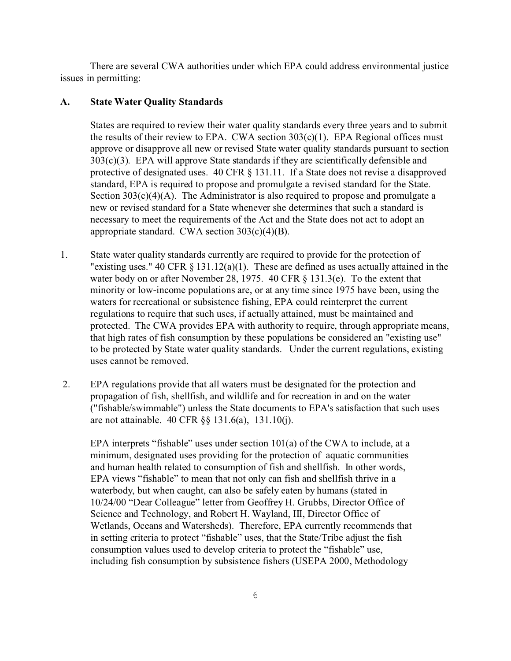There are several CWA authorities under which EPA could address environmental justice issues in permitting:

## **A. State Water Quality Standards**

States are required to review their water quality standards every three years and to submit the results of their review to EPA. CWA section 303(c)(1). EPA Regional offices must approve or disapprove all new or revised State water quality standards pursuant to section  $303(c)(3)$ . EPA will approve State standards if they are scientifically defensible and protective of designated uses. 40 CFR § 131.11. If a State does not revise a disapproved standard, EPA is required to propose and promulgate a revised standard for the State. Section  $303(c)(4)(A)$ . The Administrator is also required to propose and promulgate a new or revised standard for a State whenever she determines that such a standard is necessary to meet the requirements of the Act and the State does not act to adopt an appropriate standard. CWA section 303(c)(4)(B).

- 1. State water quality standards currently are required to provide for the protection of "existing uses." 40 CFR  $\S$  131.12(a)(1). These are defined as uses actually attained in the water body on or after November 28, 1975. 40 CFR § 131.3(e). To the extent that minority or low-income populations are, or at any time since 1975 have been, using the waters for recreational or subsistence fishing, EPA could reinterpret the current regulations to require that such uses, if actually attained, must be maintained and protected. The CWA provides EPA with authority to require, through appropriate means, that high rates of fish consumption by these populations be considered an "existing use" to be protected by State water quality standards. Under the current regulations, existing uses cannot be removed.
- 2. EPA regulations provide that all waters must be designated for the protection and propagation of fish, shellfish, and wildlife and for recreation in and on the water ("fishable/swimmable") unless the State documents to EPA's satisfaction that such uses are not attainable. 40 CFR §§ 131.6(a), 131.10(j).

EPA interprets "fishable" uses under section 101(a) of the CWA to include, at a minimum, designated uses providing for the protection of aquatic communities and human health related to consumption of fish and shellfish. In other words, EPA views "fishable" to mean that not only can fish and shellfish thrive in a waterbody, but when caught, can also be safely eaten by humans (stated in 10/24/00 "Dear Colleague" letter from Geoffrey H. Grubbs, Director Office of Science and Technology, and Robert H. Wayland, III, Director Office of Wetlands, Oceans and Watersheds). Therefore, EPA currently recommends that in setting criteria to protect "fishable" uses, that the State/Tribe adjust the fish consumption values used to develop criteria to protect the "fishable" use, including fish consumption by subsistence fishers (USEPA 2000, Methodology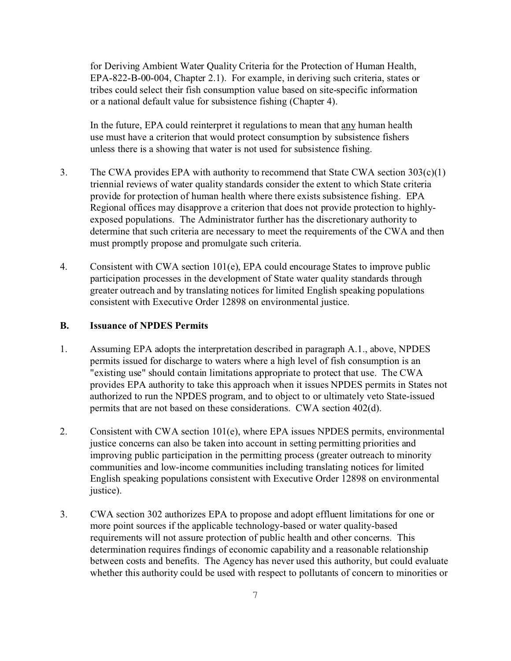for Deriving Ambient Water Quality Criteria for the Protection of Human Health, EPA-822-B-00-004, Chapter 2.1). For example, in deriving such criteria, states or tribes could select their fish consumption value based on site-specific information or a national default value for subsistence fishing (Chapter 4).

In the future, EPA could reinterpret it regulations to mean that any human health use must have a criterion that would protect consumption by subsistence fishers unless there is a showing that water is not used for subsistence fishing.

- 3. The CWA provides EPA with authority to recommend that State CWA section  $303(c)(1)$ triennial reviews of water quality standards consider the extent to which State criteria provide for protection of human health where there exists subsistence fishing. EPA Regional offices may disapprove a criterion that does not provide protection to highlyexposed populations. The Administrator further has the discretionary authority to determine that such criteria are necessary to meet the requirements of the CWA and then must promptly propose and promulgate such criteria.
- 4. Consistent with CWA section 101(e), EPA could encourage States to improve public participation processes in the development of State water quality standards through greater outreach and by translating notices for limited English speaking populations consistent with Executive Order 12898 on environmental justice.

## **B. Issuance of NPDES Permits**

- 1. Assuming EPA adopts the interpretation described in paragraph A.1., above, NPDES permits issued for discharge to waters where a high level of fish consumption is an "existing use" should contain limitations appropriate to protect that use. The CWA provides EPA authority to take this approach when it issues NPDES permits in States not authorized to run the NPDES program, and to object to or ultimately veto State-issued permits that are not based on these considerations. CWA section 402(d).
- 2. Consistent with CWA section 101(e), where EPA issues NPDES permits, environmental justice concerns can also be taken into account in setting permitting priorities and improving public participation in the permitting process (greater outreach to minority communities and low-income communities including translating notices for limited English speaking populations consistent with Executive Order 12898 on environmental justice).
- 3. CWA section 302 authorizes EPA to propose and adopt effluent limitations for one or more point sources if the applicable technology-based or water quality-based requirements will not assure protection of public health and other concerns. This determination requires findings of economic capability and a reasonable relationship between costs and benefits. The Agency has never used this authority, but could evaluate whether this authority could be used with respect to pollutants of concern to minorities or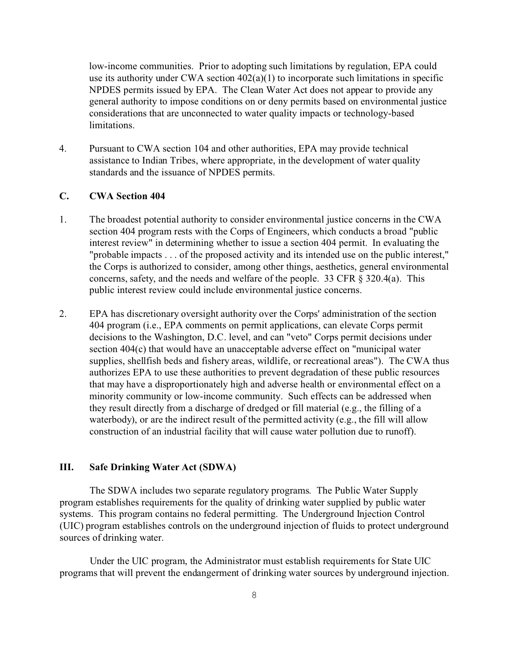low-income communities. Prior to adopting such limitations by regulation, EPA could use its authority under CWA section  $402(a)(1)$  to incorporate such limitations in specific NPDES permits issued by EPA. The Clean Water Act does not appear to provide any general authority to impose conditions on or deny permits based on environmental justice considerations that are unconnected to water quality impacts or technology-based limitations.

4. Pursuant to CWA section 104 and other authorities, EPA may provide technical assistance to Indian Tribes, where appropriate, in the development of water quality standards and the issuance of NPDES permits.

#### **C. CWA Section 404**

- 1. The broadest potential authority to consider environmental justice concerns in the CWA section 404 program rests with the Corps of Engineers, which conducts a broad "public interest review" in determining whether to issue a section 404 permit. In evaluating the "probable impacts . . . of the proposed activity and its intended use on the public interest," the Corps is authorized to consider, among other things, aesthetics, general environmental concerns, safety, and the needs and welfare of the people. 33 CFR § 320.4(a). This public interest review could include environmental justice concerns.
- 2. EPA has discretionary oversight authority over the Corps' administration of the section 404 program (i.e., EPA comments on permit applications, can elevate Corps permit decisions to the Washington, D.C. level, and can "veto" Corps permit decisions under section 404(c) that would have an unacceptable adverse effect on "municipal water supplies, shellfish beds and fishery areas, wildlife, or recreational areas"). The CWA thus authorizes EPA to use these authorities to prevent degradation of these public resources that may have a disproportionately high and adverse health or environmental effect on a minority community or low-income community. Such effects can be addressed when they result directly from a discharge of dredged or fill material (e.g., the filling of a waterbody), or are the indirect result of the permitted activity (e.g., the fill will allow construction of an industrial facility that will cause water pollution due to runoff).

### **III. Safe Drinking Water Act (SDWA)**

The SDWA includes two separate regulatory programs. The Public Water Supply program establishes requirements for the quality of drinking water supplied by public water systems. This program contains no federal permitting. The Underground Injection Control (UIC) program establishes controls on the underground injection of fluids to protect underground sources of drinking water.

Under the UIC program, the Administrator must establish requirements for State UIC programs that will prevent the endangerment of drinking water sources by underground injection.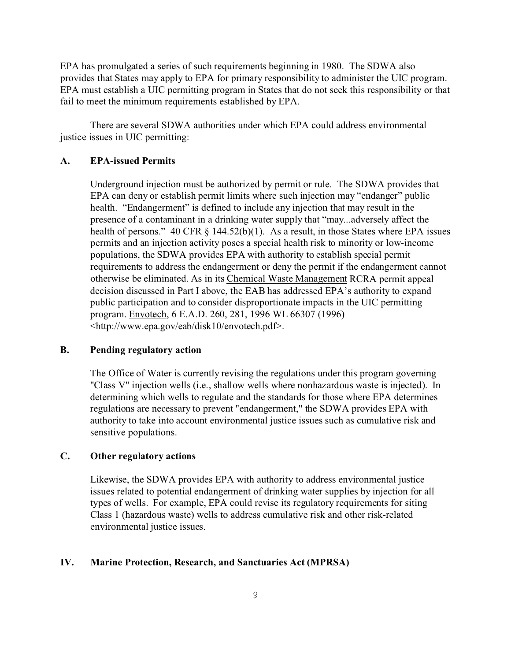EPA has promulgated a series of such requirements beginning in 1980. The SDWA also provides that States may apply to EPA for primary responsibility to administer the UIC program. EPA must establish a UIC permitting program in States that do not seek this responsibility or that fail to meet the minimum requirements established by EPA.

There are several SDWA authorities under which EPA could address environmental justice issues in UIC permitting:

### **A. EPA-issued Permits**

Underground injection must be authorized by permit or rule. The SDWA provides that EPA can deny or establish permit limits where such injection may "endanger" public health. "Endangerment" is defined to include any injection that may result in the presence of a contaminant in a drinking water supply that "may...adversely affect the health of persons." 40 CFR  $\S$  144.52(b)(1). As a result, in those States where EPA issues permits and an injection activity poses a special health risk to minority or low-income populations, the SDWA provides EPA with authority to establish special permit requirements to address the endangerment or deny the permit if the endangerment cannot otherwise be eliminated. As in its Chemical Waste Management RCRA permit appeal decision discussed in Part I above, the EAB has addressed EPA's authority to expand public participation and to consider disproportionate impacts in the UIC permitting program. Envotech, 6 E.A.D. 260, 281, 1996 WL 66307 (1996) <http://www.epa.gov/eab/disk10/envotech.pdf>.

## **B. Pending regulatory action**

The Office of Water is currently revising the regulations under this program governing "Class V" injection wells (i.e., shallow wells where nonhazardous waste is injected). In determining which wells to regulate and the standards for those where EPA determines regulations are necessary to prevent "endangerment," the SDWA provides EPA with authority to take into account environmental justice issues such as cumulative risk and sensitive populations.

# **C. Other regulatory actions**

Likewise, the SDWA provides EPA with authority to address environmental justice issues related to potential endangerment of drinking water supplies by injection for all types of wells. For example, EPA could revise its regulatory requirements for siting Class 1 (hazardous waste) wells to address cumulative risk and other risk-related environmental justice issues.

### **IV. Marine Protection, Research, and Sanctuaries Act (MPRSA)**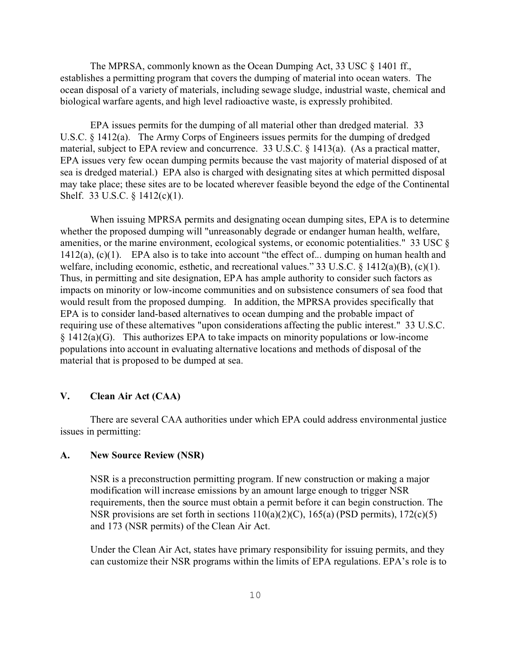The MPRSA, commonly known as the Ocean Dumping Act, 33 USC § 1401 ff., establishes a permitting program that covers the dumping of material into ocean waters. The ocean disposal of a variety of materials, including sewage sludge, industrial waste, chemical and biological warfare agents, and high level radioactive waste, is expressly prohibited.

EPA issues permits for the dumping of all material other than dredged material. 33 U.S.C. § 1412(a). The Army Corps of Engineers issues permits for the dumping of dredged material, subject to EPA review and concurrence. 33 U.S.C. § 1413(a). (As a practical matter, EPA issues very few ocean dumping permits because the vast majority of material disposed of at sea is dredged material.) EPA also is charged with designating sites at which permitted disposal may take place; these sites are to be located wherever feasible beyond the edge of the Continental Shelf. 33 U.S.C. § 1412(c)(1).

When issuing MPRSA permits and designating ocean dumping sites, EPA is to determine whether the proposed dumping will "unreasonably degrade or endanger human health, welfare, amenities, or the marine environment, ecological systems, or economic potentialities." 33 USC § 1412(a), (c)(1). EPA also is to take into account "the effect of... dumping on human health and welfare, including economic, esthetic, and recreational values." 33 U.S.C. § 1412(a)(B), (c)(1). Thus, in permitting and site designation, EPA has ample authority to consider such factors as impacts on minority or low-income communities and on subsistence consumers of sea food that would result from the proposed dumping. In addition, the MPRSA provides specifically that EPA is to consider land-based alternatives to ocean dumping and the probable impact of requiring use of these alternatives "upon considerations affecting the public interest." 33 U.S.C. § 1412(a)(G). This authorizes EPA to take impacts on minority populations or low-income populations into account in evaluating alternative locations and methods of disposal of the material that is proposed to be dumped at sea.

# **V. Clean Air Act (CAA)**

There are several CAA authorities under which EPA could address environmental justice issues in permitting:

### **A. New Source Review (NSR)**

NSR is a preconstruction permitting program. If new construction or making a major modification will increase emissions by an amount large enough to trigger NSR requirements, then the source must obtain a permit before it can begin construction. The NSR provisions are set forth in sections 110(a)(2)(C), 165(a) (PSD permits), 172(c)(5) and 173 (NSR permits) of the Clean Air Act.

Under the Clean Air Act, states have primary responsibility for issuing permits, and they can customize their NSR programs within the limits of EPA regulations. EPA's role is to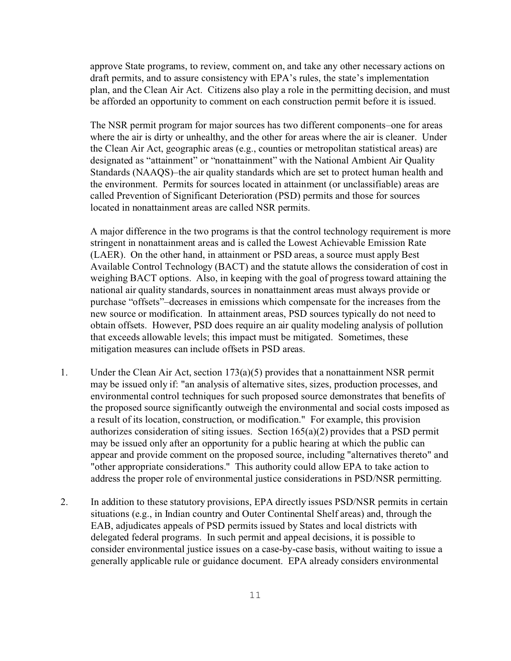approve State programs, to review, comment on, and take any other necessary actions on draft permits, and to assure consistency with EPA's rules, the state's implementation plan, and the Clean Air Act. Citizens also play a role in the permitting decision, and must be afforded an opportunity to comment on each construction permit before it is issued.

The NSR permit program for major sources has two different components–one for areas where the air is dirty or unhealthy, and the other for areas where the air is cleaner. Under the Clean Air Act, geographic areas (e.g., counties or metropolitan statistical areas) are designated as "attainment" or "nonattainment" with the National Ambient Air Quality Standards (NAAQS)–the air quality standards which are set to protect human health and the environment. Permits for sources located in attainment (or unclassifiable) areas are called Prevention of Significant Deterioration (PSD) permits and those for sources located in nonattainment areas are called NSR permits.

A major difference in the two programs is that the control technology requirement is more stringent in nonattainment areas and is called the Lowest Achievable Emission Rate (LAER). On the other hand, in attainment or PSD areas, a source must apply Best Available Control Technology (BACT) and the statute allows the consideration of cost in weighing BACT options. Also, in keeping with the goal of progress toward attaining the national air quality standards, sources in nonattainment areas must always provide or purchase "offsets"–decreases in emissions which compensate for the increases from the new source or modification. In attainment areas, PSD sources typically do not need to obtain offsets. However, PSD does require an air quality modeling analysis of pollution that exceeds allowable levels; this impact must be mitigated. Sometimes, these mitigation measures can include offsets in PSD areas.

- 1. Under the Clean Air Act, section  $173(a)(5)$  provides that a nonattainment NSR permit may be issued only if: "an analysis of alternative sites, sizes, production processes, and environmental control techniques for such proposed source demonstrates that benefits of the proposed source significantly outweigh the environmental and social costs imposed as a result of its location, construction, or modification." For example, this provision authorizes consideration of siting issues. Section 165(a)(2) provides that a PSD permit may be issued only after an opportunity for a public hearing at which the public can appear and provide comment on the proposed source, including "alternatives thereto" and "other appropriate considerations." This authority could allow EPA to take action to address the proper role of environmental justice considerations in PSD/NSR permitting.
- 2. In addition to these statutory provisions, EPA directly issues PSD/NSR permits in certain situations (e.g., in Indian country and Outer Continental Shelf areas) and, through the EAB, adjudicates appeals of PSD permits issued by States and local districts with delegated federal programs. In such permit and appeal decisions, it is possible to consider environmental justice issues on a case-by-case basis, without waiting to issue a generally applicable rule or guidance document. EPA already considers environmental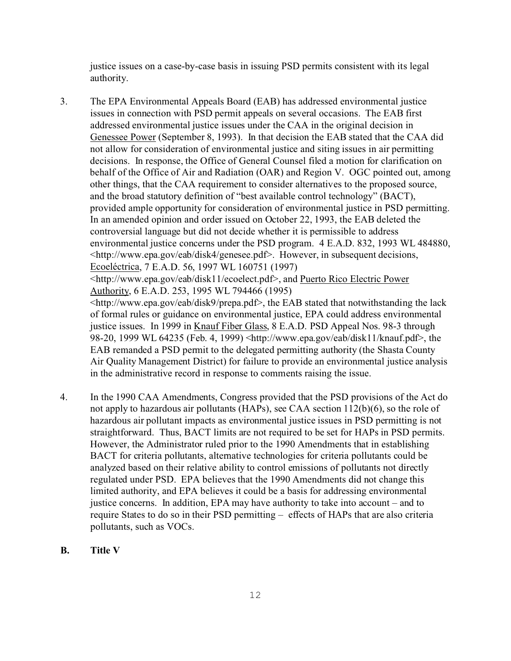justice issues on a case-by-case basis in issuing PSD permits consistent with its legal authority.

- 3. The EPA Environmental Appeals Board (EAB) has addressed environmental justice issues in connection with PSD permit appeals on several occasions. The EAB first addressed environmental justice issues under the CAA in the original decision in Genessee Power (September 8, 1993). In that decision the EAB stated that the CAA did not allow for consideration of environmental justice and siting issues in air permitting decisions. In response, the Office of General Counsel filed a motion for clarification on behalf of the Office of Air and Radiation (OAR) and Region V. OGC pointed out, among other things, that the CAA requirement to consider alternatives to the proposed source, and the broad statutory definition of "best available control technology" (BACT), provided ample opportunity for consideration of environmental justice in PSD permitting. In an amended opinion and order issued on October 22, 1993, the EAB deleted the controversial language but did not decide whether it is permissible to address environmental justice concerns under the PSD program. 4 E.A.D. 832, 1993 WL 484880, <http://www.epa.gov/eab/disk4/genesee.pdf>. However, in subsequent decisions, Ecoeléctrica, 7 E.A.D. 56, 1997 WL 160751 (1997) <http://www.epa.gov/eab/disk11/ecoelect.pdf>, and Puerto Rico Electric Power Authority, 6 E.A.D. 253, 1995 WL 794466 (1995) <http://www.epa.gov/eab/disk9/prepa.pdf>, the EAB stated that notwithstanding the lack of formal rules or guidance on environmental justice, EPA could address environmental justice issues. In 1999 in Knauf Fiber Glass, 8 E.A.D. PSD Appeal Nos. 98-3 through 98-20, 1999 WL 64235 (Feb. 4, 1999) <http://www.epa.gov/eab/disk11/knauf.pdf>, the EAB remanded a PSD permit to the delegated permitting authority (the Shasta County Air Quality Management District) for failure to provide an environmental justice analysis in the administrative record in response to comments raising the issue.
- 4. In the 1990 CAA Amendments, Congress provided that the PSD provisions of the Act do not apply to hazardous air pollutants (HAPs), see CAA section 112(b)(6), so the role of hazardous air pollutant impacts as environmental justice issues in PSD permitting is not straightforward. Thus, BACT limits are not required to be set for HAPs in PSD permits. However, the Administrator ruled prior to the 1990 Amendments that in establishing BACT for criteria pollutants, alternative technologies for criteria pollutants could be analyzed based on their relative ability to control emissions of pollutants not directly regulated under PSD. EPA believes that the 1990 Amendments did not change this limited authority, and EPA believes it could be a basis for addressing environmental justice concerns. In addition, EPA may have authority to take into account – and to require States to do so in their PSD permitting – effects of HAPs that are also criteria pollutants, such as VOCs.
- **B. Title V**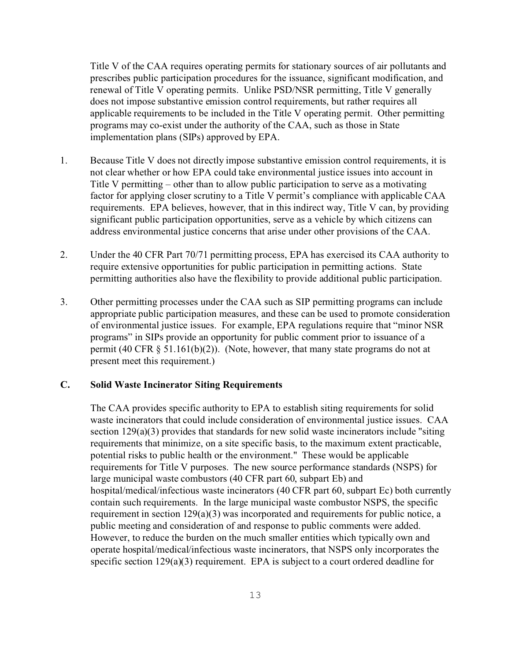Title V of the CAA requires operating permits for stationary sources of air pollutants and prescribes public participation procedures for the issuance, significant modification, and renewal of Title V operating permits. Unlike PSD/NSR permitting, Title V generally does not impose substantive emission control requirements, but rather requires all applicable requirements to be included in the Title V operating permit. Other permitting programs may co-exist under the authority of the CAA, such as those in State implementation plans (SIPs) approved by EPA.

- 1. Because Title V does not directly impose substantive emission control requirements, it is not clear whether or how EPA could take environmental justice issues into account in Title V permitting – other than to allow public participation to serve as a motivating factor for applying closer scrutiny to a Title V permit's compliance with applicable CAA requirements. EPA believes, however, that in this indirect way, Title V can, by providing significant public participation opportunities, serve as a vehicle by which citizens can address environmental justice concerns that arise under other provisions of the CAA.
- 2. Under the 40 CFR Part 70/71 permitting process, EPA has exercised its CAA authority to require extensive opportunities for public participation in permitting actions. State permitting authorities also have the flexibility to provide additional public participation.
- 3. Other permitting processes under the CAA such as SIP permitting programs can include appropriate public participation measures, and these can be used to promote consideration of environmental justice issues. For example, EPA regulations require that "minor NSR programs" in SIPs provide an opportunity for public comment prior to issuance of a permit (40 CFR  $\S$  51.161(b)(2)). (Note, however, that many state programs do not at present meet this requirement.)

### **C. Solid Waste Incinerator Siting Requirements**

The CAA provides specific authority to EPA to establish siting requirements for solid waste incinerators that could include consideration of environmental justice issues. CAA section 129(a)(3) provides that standards for new solid waste incinerators include "siting requirements that minimize, on a site specific basis, to the maximum extent practicable, potential risks to public health or the environment." These would be applicable requirements for Title V purposes. The new source performance standards (NSPS) for large municipal waste combustors (40 CFR part 60, subpart Eb) and hospital/medical/infectious waste incinerators (40 CFR part 60, subpart Ec) both currently contain such requirements. In the large municipal waste combustor NSPS, the specific requirement in section 129(a)(3) was incorporated and requirements for public notice, a public meeting and consideration of and response to public comments were added. However, to reduce the burden on the much smaller entities which typically own and operate hospital/medical/infectious waste incinerators, that NSPS only incorporates the specific section 129(a)(3) requirement. EPA is subject to a court ordered deadline for